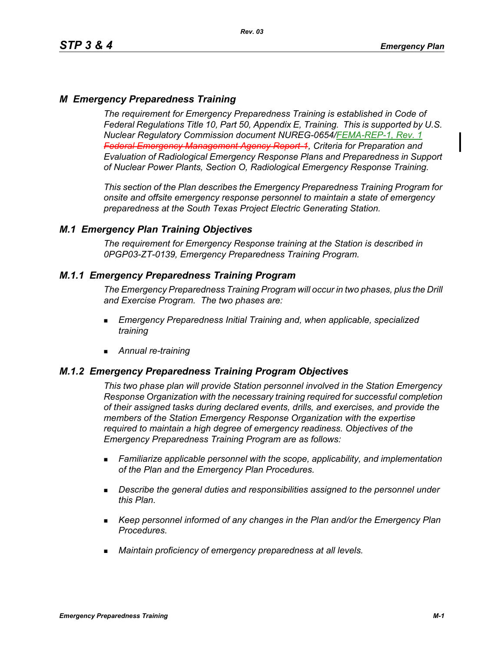# *M Emergency Preparedness Training*

*The requirement for Emergency Preparedness Training is established in Code of Federal Regulations Title 10, Part 50, Appendix E, Training. This is supported by U.S. Nuclear Regulatory Commission document NUREG-0654/FEMA-REP-1, Rev. 1 Federal Emergency Management Agency Report-1, Criteria for Preparation and Evaluation of Radiological Emergency Response Plans and Preparedness in Support of Nuclear Power Plants, Section O, Radiological Emergency Response Training.*

*This section of the Plan describes the Emergency Preparedness Training Program for onsite and offsite emergency response personnel to maintain a state of emergency preparedness at the South Texas Project Electric Generating Station.*

## *M.1 Emergency Plan Training Objectives*

*The requirement for Emergency Response training at the Station is described in 0PGP03-ZT-0139, Emergency Preparedness Training Program.*

## *M.1.1 Emergency Preparedness Training Program*

*The Emergency Preparedness Training Program will occur in two phases, plus the Drill and Exercise Program. The two phases are:*

- *Emergency Preparedness Initial Training and, when applicable, specialized training*
- *Annual re-training*

## *M.1.2 Emergency Preparedness Training Program Objectives*

*This two phase plan will provide Station personnel involved in the Station Emergency Response Organization with the necessary training required for successful completion of their assigned tasks during declared events, drills, and exercises, and provide the members of the Station Emergency Response Organization with the expertise required to maintain a high degree of emergency readiness. Objectives of the Emergency Preparedness Training Program are as follows:*

- *Familiarize applicable personnel with the scope, applicability, and implementation of the Plan and the Emergency Plan Procedures.*
- *Describe the general duties and responsibilities assigned to the personnel under this Plan.*
- *Keep personnel informed of any changes in the Plan and/or the Emergency Plan Procedures.*
- *Maintain proficiency of emergency preparedness at all levels.*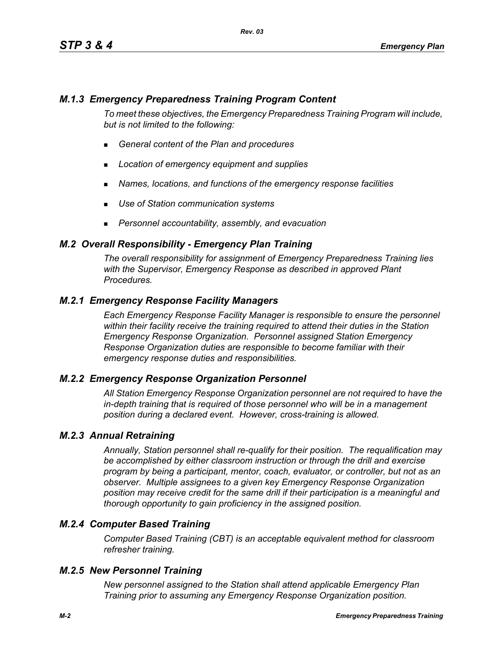## *M.1.3 Emergency Preparedness Training Program Content*

*To meet these objectives, the Emergency Preparedness Training Program will include, but is not limited to the following:*

- *General content of the Plan and procedures*
- *Location of emergency equipment and supplies*
- *Names, locations, and functions of the emergency response facilities*
- *Use of Station communication systems*
- *Personnel accountability, assembly, and evacuation*

### *M.2 Overall Responsibility - Emergency Plan Training*

*The overall responsibility for assignment of Emergency Preparedness Training lies with the Supervisor, Emergency Response as described in approved Plant Procedures.*

## *M.2.1 Emergency Response Facility Managers*

*Each Emergency Response Facility Manager is responsible to ensure the personnel within their facility receive the training required to attend their duties in the Station Emergency Response Organization. Personnel assigned Station Emergency Response Organization duties are responsible to become familiar with their emergency response duties and responsibilities.*

#### *M.2.2 Emergency Response Organization Personnel*

*All Station Emergency Response Organization personnel are not required to have the in-depth training that is required of those personnel who will be in a management position during a declared event. However, cross-training is allowed.*

#### *M.2.3 Annual Retraining*

*Annually, Station personnel shall re-qualify for their position. The requalification may be accomplished by either classroom instruction or through the drill and exercise program by being a participant, mentor, coach, evaluator, or controller, but not as an observer. Multiple assignees to a given key Emergency Response Organization position may receive credit for the same drill if their participation is a meaningful and thorough opportunity to gain proficiency in the assigned position.*

## *M.2.4 Computer Based Training*

*Computer Based Training (CBT) is an acceptable equivalent method for classroom refresher training.*

#### *M.2.5 New Personnel Training*

*New personnel assigned to the Station shall attend applicable Emergency Plan Training prior to assuming any Emergency Response Organization position.*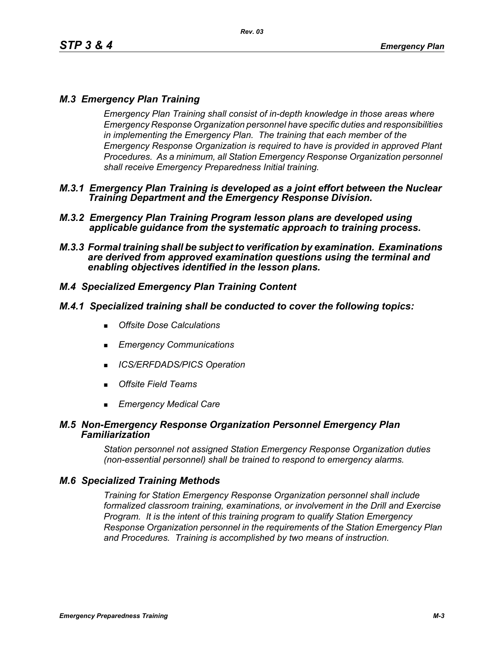# *M.3 Emergency Plan Training*

*Emergency Plan Training shall consist of in-depth knowledge in those areas where Emergency Response Organization personnel have specific duties and responsibilities in implementing the Emergency Plan. The training that each member of the Emergency Response Organization is required to have is provided in approved Plant Procedures. As a minimum, all Station Emergency Response Organization personnel shall receive Emergency Preparedness Initial training.*

- *M.3.1 Emergency Plan Training is developed as a joint effort between the Nuclear Training Department and the Emergency Response Division.*
- *M.3.2 Emergency Plan Training Program lesson plans are developed using applicable guidance from the systematic approach to training process.*
- *M.3.3 Formal training shall be subject to verification by examination. Examinations are derived from approved examination questions using the terminal and enabling objectives identified in the lesson plans.*

# *M.4 Specialized Emergency Plan Training Content*

### *M.4.1 Specialized training shall be conducted to cover the following topics:*

- *Offsite Dose Calculations*
- *Emergency Communications*
- *ICS/ERFDADS/PICS Operation*
- *Offsite Field Teams*
- *Emergency Medical Care*

### *M.5 Non-Emergency Response Organization Personnel Emergency Plan Familiarization*

*Station personnel not assigned Station Emergency Response Organization duties (non-essential personnel) shall be trained to respond to emergency alarms.*

## *M.6 Specialized Training Methods*

*Training for Station Emergency Response Organization personnel shall include formalized classroom training, examinations, or involvement in the Drill and Exercise Program. It is the intent of this training program to qualify Station Emergency Response Organization personnel in the requirements of the Station Emergency Plan and Procedures. Training is accomplished by two means of instruction.*